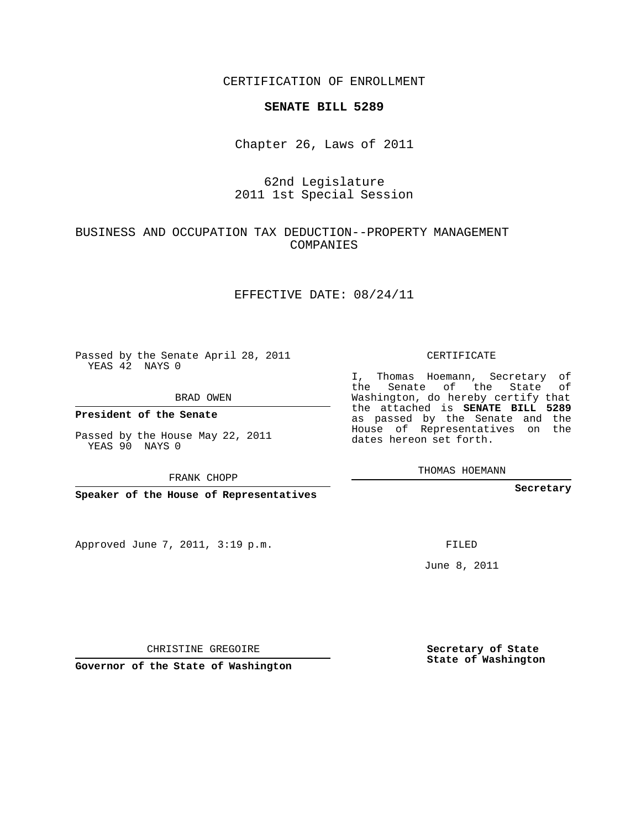CERTIFICATION OF ENROLLMENT

#### **SENATE BILL 5289**

Chapter 26, Laws of 2011

## 62nd Legislature 2011 1st Special Session

### BUSINESS AND OCCUPATION TAX DEDUCTION--PROPERTY MANAGEMENT COMPANIES

#### EFFECTIVE DATE: 08/24/11

Passed by the Senate April 28, 2011 YEAS 42 NAYS 0

BRAD OWEN

**President of the Senate**

Passed by the House May 22, 2011 YEAS 90 NAYS 0

FRANK CHOPP

**Speaker of the House of Representatives**

Approved June 7, 2011, 3:19 p.m.

CERTIFICATE

I, Thomas Hoemann, Secretary of the Senate of the State of Washington, do hereby certify that the attached is **SENATE BILL 5289** as passed by the Senate and the House of Representatives on the dates hereon set forth.

THOMAS HOEMANN

**Secretary**

FILED

June 8, 2011

CHRISTINE GREGOIRE

**Governor of the State of Washington**

**Secretary of State State of Washington**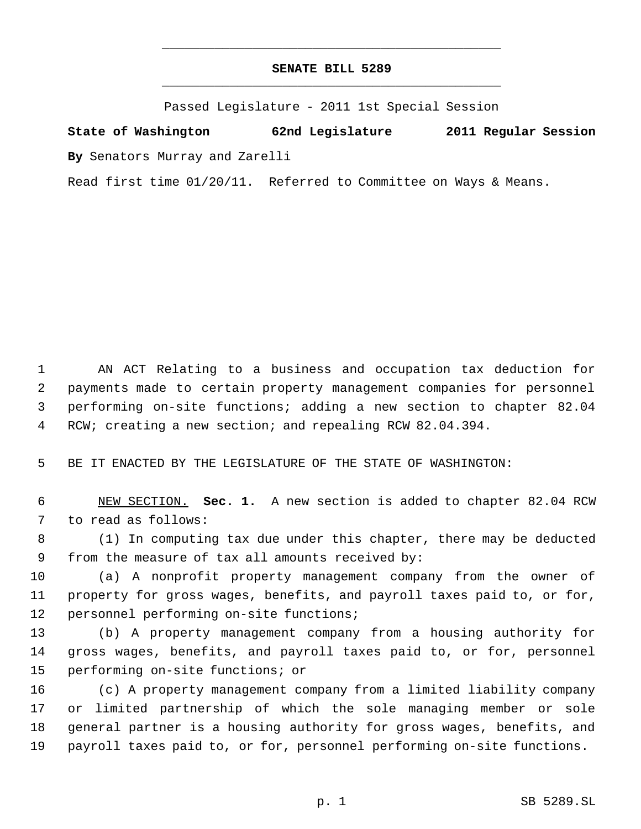# **SENATE BILL 5289** \_\_\_\_\_\_\_\_\_\_\_\_\_\_\_\_\_\_\_\_\_\_\_\_\_\_\_\_\_\_\_\_\_\_\_\_\_\_\_\_\_\_\_\_\_

\_\_\_\_\_\_\_\_\_\_\_\_\_\_\_\_\_\_\_\_\_\_\_\_\_\_\_\_\_\_\_\_\_\_\_\_\_\_\_\_\_\_\_\_\_

Passed Legislature - 2011 1st Special Session

**State of Washington 62nd Legislature 2011 Regular Session By** Senators Murray and Zarelli

Read first time 01/20/11. Referred to Committee on Ways & Means.

 AN ACT Relating to a business and occupation tax deduction for payments made to certain property management companies for personnel performing on-site functions; adding a new section to chapter 82.04 RCW; creating a new section; and repealing RCW 82.04.394.

BE IT ENACTED BY THE LEGISLATURE OF THE STATE OF WASHINGTON:

 NEW SECTION. **Sec. 1.** A new section is added to chapter 82.04 RCW to read as follows:

 (1) In computing tax due under this chapter, there may be deducted from the measure of tax all amounts received by:

 (a) A nonprofit property management company from the owner of property for gross wages, benefits, and payroll taxes paid to, or for, personnel performing on-site functions;

 (b) A property management company from a housing authority for gross wages, benefits, and payroll taxes paid to, or for, personnel performing on-site functions; or

 (c) A property management company from a limited liability company or limited partnership of which the sole managing member or sole general partner is a housing authority for gross wages, benefits, and payroll taxes paid to, or for, personnel performing on-site functions.